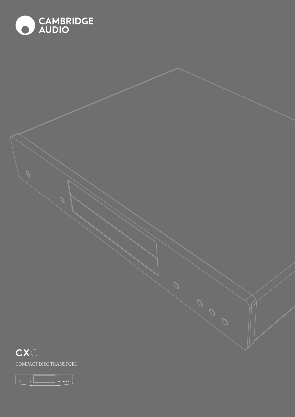



 $\begin{array}{|c|c|} \hline \circ & \circ \end{array}$  $\Box$   $\circ$   $\circ$   $\circ$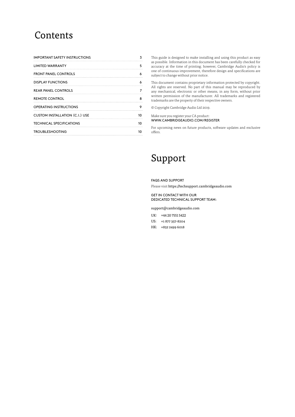# Contents

| <b>IMPORTANT SAFETY INSTRUCTIONS</b>  |   |
|---------------------------------------|---|
| <b>LIMITED WARRANTY</b>               | 5 |
| <b>FRONT PANEL CONTROLS</b>           |   |
| <b>DISPLAY FUNCTIONS</b>              |   |
| <b>REAR PANEL CONTROLS</b>            |   |
| <b>REMOTE CONTROL</b>                 |   |
| <b>OPERATING INSTRUCTIONS</b>         |   |
| <b>CUSTOM INSTALLATION (C.I.) USE</b> |   |
| <b>TECHNICAL SPECIFICATIONS</b>       |   |
| TROUBLESHOOTING                       |   |
|                                       |   |

This guide is designed to make installing and using this product as easy as possible. Information in this document has been carefully checked for accuracy at the time of printing; however, Cambridge Audio's policy is one of continuous improvement, therefore design and specifications are subject to change without prior notice.

This document contains proprietary information protected by copyright. All rights are reserved. No part of this manual may be reproduced by any mechanical, electronic or other means, in any form, without prior written permission of the manufacturer. All trademarks and registered trademarks are the property of their respective owners.

© Copyright Cambridge Audio Ltd 2019.

#### Make sure you register your CA product: WWW.CAMBRIDGEAUDIO.COM/REGISTER

For upcoming news on future products, software updates and exclusive offers.

# Support

FAQS AND SUPPORT Please visit https://techsupport.cambridgeaudio.com

#### GET IN CONTACT WITH OUR DEDICATED TECHNICAL SUPPORT TEAM:

support@cambridgeaudio.com

UK: +44 20 7551 5422

- US: +1 877 357-8204
- HK: +852 2499 6018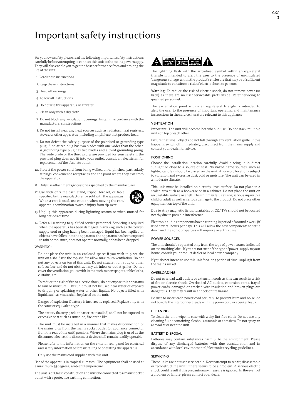# <span id="page-2-0"></span>Important safety instructions

For your own safety please read the following important safety instructions carefully before attempting to connect this unit to the mains power supply. They will also enable you to get the best performance from and prolong the life of the unit:

- 1. Read these instructions.
- 2. Keep these instructions.
- 3. Heed all warnings.
- 4. Follow all instructions.
- 5. Do not use this apparatus near water.
- 6. Clean only with a dry cloth.
- 7. Do not block any ventilation openings. Install in accordance with the manufacturer's instructions.
- 8. Do not install near any heat sources such as radiators, heat registers, stoves, or other apparatus (including amplifiers) that produce heat.
- 9. Do not defeat the safety purpose of the polarized or grounding-type plug. A polarized plug has two blades with one wider than the other. A grounding-type plug has two blades and a third grounding prong. The wide blade or the third prong are provided for your safety. If the provided plug does not fit into your outlet, consult an electrician for replacement of the obsolete outlet.
- 10. Protect the power cord from being walked on or pinched, particularly at plugs, convenience receptacles and the point where they exit from the apparatus.
- 11. Only use attachments/accessories specified by the manufacturer.
- 12. Use with only the cart, stand, tripod, bracket, or table specified by the manufacturer, or sold with the apparatus. When a cart is used, use caution when moving the cart/ apparatus combination to avoid injury from tip-over.



- 13. Unplug this apparatus during lightning storms or when unused for long periods of time.
- 14. Refer all servicing to qualified service personnel. Servicing is required when the apparatus has been damaged in any way, such as the powersupply cord or plug having been damaged, liquid has been spilled or objects have fallen into the apparatus, the apparatus has been exposed to rain or moisture, does not operate normally, or has been dropped.

#### **WARNING**

- Do not place the unit in an enclosed space; if you wish to place the unit on a shelf, use the top shelf to allow maximum ventilation. Do not put any objects on top of this unit. Do not situate it on a rug or other soft surface and do not obstruct any air inlets or outlet grilles. Do not cover the ventilation grilles with items such as newspapers, tablecloths, curtains, etc.
- To reduce the risk of fire or electric shock, do not expose this apparatus to rain or moisture . This unit must not be used near water or exposed to dripping or splashing water or other liquids. No objects filled with liquid, such as vases, shall be placed on the unit.
- Danger of explosion if battery is incorrectly replaced. Replace only with the same or equivalent type.
- The battery (battery pack or batteries installed) shall not be exposed to excessive heat such as sunshine, fire or the like.
- The unit must be installed in a manner that makes disconnection of the mains plug from the mains socket outlet (or appliance connector from the rear of the unit) possible. Where the mains plug is used as the disconnect device, the disconnect device shall remain readily operable.
- Please refer to the information on the exterior rear panel for electrical and safety information before installing or operating the apparatus.
- Only use the mains cord supplied with this unit.

Use of the apparatus in tropical climates - The equipment shall be used at a maximum 45 degree C ambient temperature.

The unit is of Class 1 construction and must be connected to a mains socket outlet with a protective earthing connection.



The lightning flash with the arrowhead symbol within an equilateral triangle is intended to alert the user to the presence of un-insulated 'dangerous voltage' within the product's enclosure that may be of sufficient magnitude to constitute a risk of electric shock to persons.

Warning: To reduce the risk of electric shock, do not remove cover (or back) as there are no user-serviceable parts inside. Refer servicing to qualified personnel.

The exclamation point within an equilateral triangle is intended to alert the user to the presence of important operating and maintenance instructions in the service literature relevant to this appliance.

#### VENTILATION

Important! The unit will become hot when in use. Do not stack multiple units on top of each other.

Ensure that small objects do not fall through any ventilation grille. If this happens, switch off immediately, disconnect from the mains supply and contact your dealer for advice.

### POSITIONING

Choose the installation location carefully. Avoid placing it in direct sunlight or close to a source of heat. No naked flame sources, such as lighted candles, should be placed on the unit. Also avoid locations subject to vibration and excessive dust, cold or moisture. The unit can be used in a moderate climate.

This unit must be installed on a sturdy, level surface. Do not place in a sealed area such as a bookcase or in a cabinet. Do not place the unit on an unstable surface or shelf. The unit may fall, causing serious injury to a child or adult as well as serious damage to the product. Do not place other equipment on top of the unit.

Due to stray magnetic fields, turntables or CRT TVs should not be located nearby due to possible interference.

Electronic audio components have a running in period of around a week (if used several hours per day). This will allow the new components to settle down and the sonic properties will improve over this time.

#### POWER SOURCES

The unit should be operated only from the type of power source indicated on the marking label. If you are not sure of the type of power-supply to your home, consult your product dealer or local power company.

If you do not intend to use this unit for a long period of time, unplug it from the mains socket.

#### OVERLOADING

Do not overload wall outlets or extension cords as this can result in a risk of fire or electric shock. Overloaded AC outlets, extension cords, frayed power cords, damaged or cracked wire insulation and broken plugs are dangerous. They may result in a shock or fire hazard.

Be sure to insert each power cord securely. To prevent hum and noise, do not bundle the interconnect leads with the power cord or speaker leads.

#### CLEANING

To clean the unit, wipe its case with a dry, lint-free cloth. Do not use any cleaning fluids containing alcohol, ammonia or abrasives. Do not spray an aerosol at or near the unit.

#### BATTERY DISPOSAL

Batteries may contain substances harmful to the environment. Please dispose of any discharged batteries with due consideration and in accordance with local environmental/electronic recycling guidelines.

#### **SERVICING**

These units are not user serviceable. Never attempt to repair, disassemble or reconstruct the unit if there seems to be a problem. A serious electric shock could result if this precautionary measure is ignored. In the event of a problem or failure, please contact your dealer.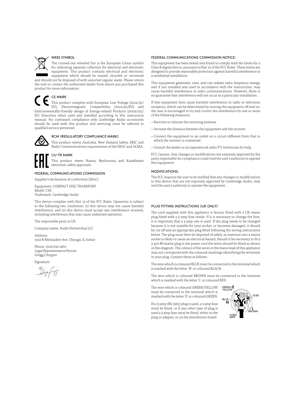

### WEEE SYMBOL

The crossed-out wheeled bin is the European Union symbol for indicating separate collection for electrical and electronic equipment. This product contains electrical and electronic equipment which should be reused, recycled or recovered

and should not be disposed of with unsorted regular waste. Please return the unit or contact the authorised dealer from whom you purchased this product for more information.

# CE MARK

This product complies with European Low Voltage (2014/35/ EU), Electromagnetic Compatibility (2014/30/EU) and Environmentally-friendly design of Energy-related Products (2009/125/ EC) Directives when used and installed according to this instruction manual. For continued compliance only Cambridge Audio accessories should be used with this product and servicing must be referred to qualified service personnel.



#### RCM (REGULATORY COMPLIANCE MARK)

This product meets Australia, New Zealand Safety, EMC and Radio Communications requirements of the ERAC and ACMA.



### CU-TR MARK

This product meets Russia, Byelorussia and Kazakhstan electronic safety approvals.

#### FEDERAL COMMUNICATIONS COMMISSION

Supplier's declaration of conformity (SDoC)

Equipment: COMPACT DISC TRANSPORT Model: CXC

Trademark: Cambridge Audio

This device complies with Part 15 of the FCC Rules. Operation is subject to the following two conditions: (1) this device may not cause harmful interference, and (2) this device must accept any interference received, including interference that may cause undesired operation.

The responsible party in US:

Company name: Audio Partnership LLC

Address: 1913 N Milwaukee Ave. Chicago, IL 60647

Phone: (312) 636-4817 Legal Representative Person: Gregg Chopper

Signature:

#### FEDERAL COMMUNICATIONS COMMISSION NOTICE:

This equipment has been tested and found to comply with the limits for a Class B digital device, pursuant to Part 15 of the FCC Rules. These limits are designed to provide reasonable protection against harmful interference in a residential installation.

This equipment generates, uses, and can radiate radio frequency energy, and if not installed and used in accordance with the instructions, may cause harmful interference to radio communications. However, there is no guarantee that interference will not occur in a particular installation.

If this equipment does cause harmful interference to radio or television reception, which can be determined by turning the equipment off and on, the user is encouraged to try and correct the interference by one or more of the following measures:

- Reorient or relocate the receiving antenna.
- Increase the distance between the equipment and the receiver.
- Connect the equipment to an outlet on a circuit different from that to which the receiver is connected.
- Consult the dealer or an experienced radio/TV technician for help.

FCC Caution: Any changes or modifications not expressly approved by the party responsible for compliance could void the user's authority to operate this equipment.

### MODIFICATIONS:

The FCC requires the user to be notified that any changes or modifications to this device that are not expressly approved by Cambridge Audio, may void the user's authority to operate the equipment.

#### PLUG FITTING INSTRUCTIONS (UK ONLY)

The cord supplied with this appliance is factory fitted with a UK mains plug fitted with a 3 amp fuse inside. If it is necessary to change the fuse, it is important that a 3 amp one is used. If the plug needs to be changed because it is not suitable for your socket, or becomes damaged, it should be cut off and an appropriate plug fitted following the wiring instructions below. The plug must then be disposed of safely, as insertion into a mains socket is likely to cause an electrical hazard. Should it be necessary to fit a 3-pin BS mains plug to the power cord the wires should be fitted as shown in this diagram. The colours of the wires in the mains lead of this appliance may not correspond with the coloured markings identifying the terminals in your plug. Connect them as follows:

The wire which is coloured BLUE must be connected to the terminal which is marked with the letter 'N' or coloured BLACK.

The wire which is coloured BROWN must be connected to the terminal which is marked with the letter 'L' or coloured RED.

The wire which is coloured GREEN/YELLOW must be connected to the terminal which is marked with the letter 'E' or coloured GREEN.

If a 13 amp (BS 1363) plug is used, a 3 amp fuse must be fitted, or if any other type of plug is used a 3 amp fuse must be fitted, either in the plug or adaptor, or on the distribution board.

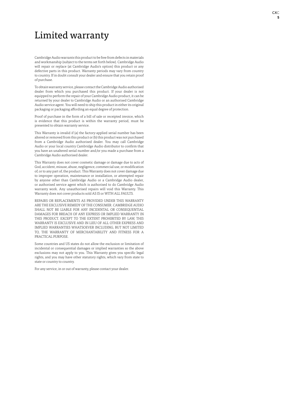# <span id="page-4-0"></span>Limited warranty

Cambridge Audio warrants this product to be free from defects in materials and workmanship (subject to the terms set forth below). Cambridge Audio will repair or replace (at Cambridge Audio's option) this product or any defective parts in this product. Warranty periods may vary from country to country. If in doubt consult your dealer and ensure that you retain proof of purchase.

To obtain warranty service, please contact the Cambridge Audio authorised dealer from which you purchased this product. If your dealer is not equipped to perform the repair of your Cambridge Audio product, it can be returned by your dealer to Cambridge Audio or an authorised Cambridge Audio service agent. You will need to ship this product in either its original packaging or packaging affording an equal degree of protection.

Proof of purchase in the form of a bill of sale or receipted invoice, which is evidence that this product is within the warranty period, must be presented to obtain warranty service.

This Warranty is invalid if (a) the factory-applied serial number has been altered or removed from this product or (b) this product was not purchased from a Cambridge Audio authorised dealer. You may call Cambridge Audio or your local country Cambridge Audio distributor to confirm that you have an unaltered serial number and/or you made a purchase from a Cambridge Audio authorised dealer.

This Warranty does not cover cosmetic damage or damage due to acts of God, accident, misuse, abuse, negligence, commercial use, or modification of, or to any part of, the product. This Warranty does not cover damage due to improper operation, maintenance or installation, or attempted repair by anyone other than Cambridge Audio or a Cambridge Audio dealer, or authorised service agent which is authorised to do Cambridge Audio warranty work. Any unauthorised repairs will void this Warranty. This Warranty does not cover products sold AS IS or WITH ALL FAULTS.

REPAIRS OR REPLACEMENTS AS PROVIDED UNDER THIS WARRANTY ARE THE EXCLUSIVE REMEDY OF THE CONSUMER. CAMBRIDGE AUDIO SHALL NOT BE LIABLE FOR ANY INCIDENTAL OR CONSEQUENTIAL DAMAGES FOR BREACH OF ANY EXPRESS OR IMPLIED WARRANTY IN THIS PRODUCT. EXCEPT TO THE EXTENT PROHIBITED BY LAW, THIS WARRANTY IS EXCLUSIVE AND IN LIEU OF ALL OTHER EXPRESS AND IMPLIED WARRANTIES WHATSOEVER INCLUDING, BUT NOT LIMITED TO, THE WARRANTY OF MERCHANTABILITY AND FITNESS FOR A PRACTICAL PURPOSE.

Some countries and US states do not allow the exclusion or limitation of incidental or consequential damages or implied warranties so the above exclusions may not apply to you. This Warranty gives you specific legal rights, and you may have other statutory rights, which vary from state to state or country to country.

For any service, in or out of warranty, please contact your dealer.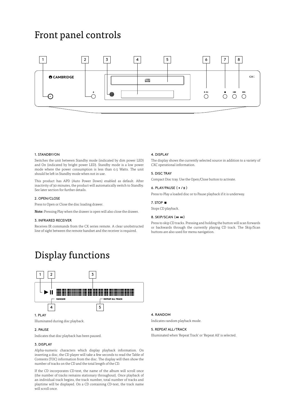# <span id="page-5-0"></span>Front panel controls



# 1. STANDBY/ON

Switches the unit between Standby mode (indicated by dim power LED) and On (indicated by bright power LED). Standby mode is a low power mode where the power consumption is less than 0.5 Watts. The unit should be left in Standby mode when not in use.

This product has APD (Auto Power Down) enabled as default. After inactivity of 30 minutes, the product will automatically switch to Standby. See later section for further details.

### 2. OPEN/CLOSE

Press to Open or Close the disc loading drawer.

Note: Pressing Play when the drawer is open will also close the drawer.

#### 3. INFRARED RECEIVER

Receives IR commands from the CX series remote. A clear unobstructed line of sight between the remote handset and the receiver is required.

### 4. DISPLAY

The display shows the currently selected source in addition to a variety of CXC operational information.

# 5. DISC TRAY

Compact Disc tray. Use the Open/Close button to activate.

# $6.$  PLAY/PAUSE ( $\rightarrow$ / $\parallel$ )

Press to Play a loaded disc or to Pause playback if it is underway.

# 7. STOP

Stops CD playback.

#### 8. SKIP/SCAN (14 M)

Press to skip CD tracks. Pressing and holding the button will scan forwards or backwards through the currently playing CD track. The Skip/Scan buttons are also used for menu navigation.

# Display functions



### Illuminated during disc playback.

### 2. PAUSE

Indicates that disc playback has been paused.

# 3. DISPLAY

Alpha-numeric characters which display playback information. On inserting a disc, the CD player will take a few seconds to read the Table of Contents (TOC) information from the disc. The display will then show the number of tracks on the CD and the total length of the CD.

If the CD incorporates CD-text, the name of the album will scroll once (the number of tracks remains stationary throughout). Once playback of an individual track begins, the track number, total number of tracks and playtime will be displayed. On a CD containing CD-text, the track name will scroll once.

# 4. RANDOM

Indicates random playback mode.

# 5. REPEAT ALL/TRACK

Illuminated when 'Repeat Track' or 'Repeat All' is selected.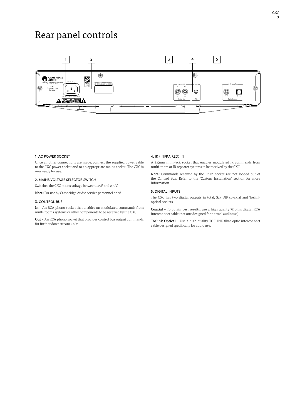# <span id="page-6-0"></span>Rear panel controls



#### 1. AC POWER SOCKET

Once all other connections are made, connect the supplied power cable to the CXC power socket and to an appropriate mains socket. The CXC is now ready for use.

# 2. MAINS VOLTAGE SELECTOR SWITCH

Switches the CXC mains voltage between 115V and 230V.

Note: For use by Cambridge Audio service personnel only!

#### 3. CONTROL BUS

In – An RCA phono socket that enables un-modulated commands from multi-rooms systems or other components to be received by the CXC.

Out – An RCA phono socket that provides control bus output commands for further downstream units.

#### 4. IR (INFRA RED) IN

A 3.5mm mini-jack socket that enables modulated IR commands from multi-room or IR repeater systems to be received by the CXC.

Note: Commands received by the IR In socket are not looped out of the Control Bus. Refer to the 'Custom Installation' section for more information.

# 5. DIGITAL INPUTS

The CXC has two digital outputs in total, S/P DIF co-axial and Toslink optical sockets.

Coaxial – To obtain best results, use a high quality 75 ohm digital RCA interconnect cable (not one designed for normal audio use).

Toslink Optical – Use a high quality TOSLINK fibre optic interconnect cable designed specifically for audio use.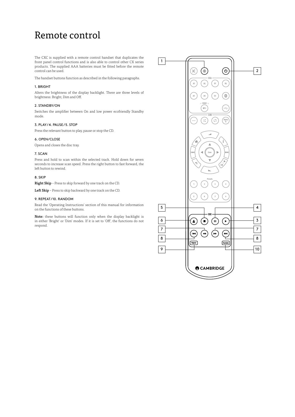# <span id="page-7-0"></span>Remote control

The CXC is supplied with a remote control handset that duplicates the front panel control functions and is also able to control other CX series products. The supplied AAA batteries must be fitted before the remote control can be used.

The handset buttons function as described in the following paragraphs.

### 1. BRIGHT

Alters the brightness of the display backlight. There are three levels of brightness: Bright, Dim and Off.

# 2. STANDBY/ON

Switches the amplifier between On and low power ecofriendly Standby mode.

# 3. PLAY / 4. PAUSE / 5. STOP

Press the relevant button to play, pause or stop the CD.

# 6. OPEN/CLOSE

Opens and closes the disc tray.

### 7. SCAN

Press and hold to scan within the selected track. Hold down for seven seconds to increase scan speed. Press the right button to fast forward, the left button to rewind.

### 8. SKIP

Right Skip – Press to skip forward by one track on the CD.

Left Skip - Press to skip backward by one track on the CD.

# 9. REPEAT / 10. RANDOM

Read the 'Operating Instructions' section of this manual for information on the functions of these buttons.

Note: these buttons will function only when the display backlight is in either 'Bright' or 'Dim' modes. If it is set to 'Off', the functions do not respond.

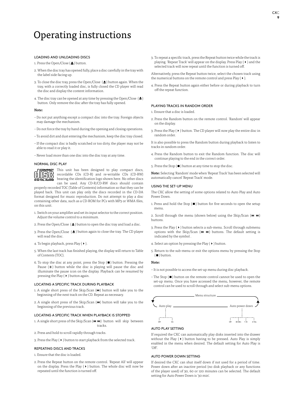# <span id="page-8-0"></span>Operating instructions

# LOADING AND UNLOADING DISCS

- 1. Press the Open/Close  $(\triangle)$  button.
- 2. When the disc tray has opened fully, place a disc carefully in the tray with the label side facing up.
- 3. To close the disc tray, press the Open/Close ( $\triangle$ ) button again. When the tray, with a correctly loaded disc, is fully closed the CD player will read the disc and display the content information.
- 4. The disc tray can be opened at any time by pressing the Open/Close  $(\triangle)$ button. Only remove the disc after the tray has fully opened.

#### Note:

- Do not put anything except a compact disc into the tray. Foreign objects may damage the mechanism.
- Do not force the tray by hand during the opening and closing operations.
- To avoid dirt and dust entering the mechanism, keep the disc tray closed.
- If the compact disc is badly scratched or too dirty, the player may not be able to read it or play it.
- Never load more than one disc into the disc tray at any time.

#### NORMAL DISC PLAY



**COMPACT** This unit has been designed to play compact discs, recordable CDs (CD-R) and re-writable CDs (CD-RW) bearing the identification logo shown here. No other discs can be used. Any CD-R/CD-RW discs should contain

properly recorded TOC (Table of Contents) information so that they can be played back. This unit can play only the discs recorded in the CD-DA format designed for music reproduction. Do not attempt to play a disc containing other data, such as a CD-ROM for PCs with MP3 or WMA files, on this unit.

- 1. Switch on your amplifier and set its input selector to the correct position. Adjust the volume control to a minimum.
- 2. Press the Open/Close  $($   $\triangle$   $)$  button to open the disc tray and load a disc.
- 3. Press the Open/Close  $($   $\triangle$   $)$  button again to close the tray. The CD player will read the disc.
- 4. To begin playback, press Play (4).
- 5. When the last track has finished playing, the display will return to Table of Contents (TOC).
- 6. To stop the disc at any point, press the Stop  $(\blacksquare)$  button. Pressing the Pause  $(\parallel)$  button while the disc is playing will pause the disc and illuminate the pause icon on the display. Playback can be resumed by pressing the Play ( $\blacktriangleright$ ) button again.

#### LOCATING A SPECIFIC TRACK DURING PLAYBACK

- 1. A single short press of the Skip/Scan  $(W)$  button will take you to the beginning of the next track on the CD. Repeat as necessary.
- 2. A single short press of the Skip/Scan ( $\textsf{H}\textsf{U}$ ) button will take you to the beginning of the previous track.

#### LOCATING A SPECIFIC TRACK WHEN PLAYBACK IS STOPPED

- 1. A single short press of the Skip/Scan  $(W \rightarrow W)$  button will skip between tracks.
- 2. Press and hold to scroll rapidly through tracks.
- 3. Press the Play  $(*)$  button to start playback from the selected track.

#### REPEATING DISCS AND TRACKS

1. Ensure that the disc is loaded.

2. Press the Repeat button on the remote control. 'Repeat All' will appear on the display. Press the Play  $(*)$  button. The whole disc will now be repeated until the function is turned off.

3. To repeat a specific track, press the Repeat button twice while the track is playing. 'Repeat Track' will appear on the display. Press Play ( $\blacktriangleright$  ) and the selected track will now repeat until the function is turned off.

Alternatively, press the Repeat button twice, select the chosen track using the numerical buttons on the remote control and press Play ( $\blacktriangleright$ ).

4. Press the Repeat button again either before or during playback to turn off the repeat function.

## PLAYING TRACKS IN RANDOM ORDER

1. Ensure that a disc is loaded.

- 2. Press the Random button on the remote control. 'Random' will appear on the display.
- 3. Press the Play  $(\rightarrow)$  button. The CD player will now play the entire disc in random order.

It is also possible to press the Random button during playback to listen to tracks in random order.

- 4. Press the Random button to exit the Random function. The disc will continue playing to the end in the correct order.
- 5. Press the Stop ( $\blacksquare$ ) button at any time to stop the disc.

Note: Selecting 'Random' mode when 'Repeat Track' has been selected will automatically cancel 'Repeat Track' mode.

#### USING THE SET-UP MENU

The CXC allow the setting of some options related to Auto Play and Auto Power Down.

1. Press and hold the Stop  $(\blacksquare)$  button for five seconds to open the setup menu.

2. Scroll through the menu (shown below) using the Skip/Scan ( $\overline{\mathsf{H}}$   $\overline{\mathsf{H}}$ ) buttons.

- 3. Press the Play ( $\blacktriangleright$  ) button selects a sub-menu. Scroll through submenu options with the Skip/Scan  $(W \rightarrow W)$  buttons. The default setting is indicated by the symbol .
- 4. Select an option by pressing the Play  $( \triangleright )$  button.
- 5. Return to the sub-menu or exit the options menu by pressing the Stop  $(\blacksquare)$  button.

#### Note:

- It is not possible to access the set-up menu during disc playback.
- $-$  The Stop  $($  $\blacksquare$ ) button on the remote control cannot be used to open the set-up menu. Once you have accessed the menu, however, the remote control can be used to scroll through and select sub-menu options.



If required the CXC can automatically play disks inserted into the drawer without the Play  $(*)$  button having to be pressed. Auto Play is simply enabled in the menu when desired. The default setting for Auto Play is 'Off'.

### AUTO POWER DOWN SETTING

If desired the CXC can shut itself down if not used for a period of time. Power down after an inactive period (no disk playback or any functions of the player used) of 30, 60 or 120 minutes can be selected. The default setting for Auto Power Down is '30 min'.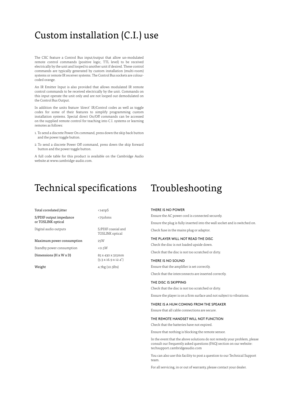# <span id="page-9-0"></span>Custom installation (C.I.) use

The CXC feature a Control Bus input/output that allow un-modulated remote control commands (positive logic, TTL level) to be received electrically by the unit and looped to another unit if desired. These control commands are typically generated by custom installation (multi-room) systems or remote IR receiver systems. The Control Bus sockets are colourcoded orange.

An IR Emitter Input is also provided that allows modulated IR remote control commands to be received electrically by the unit. Commands on this input operate the unit only and are not looped out demodulated on the Control Bus Output.

In addition the units feature 'direct' IR/Control codes as well as toggle codes for some of their features to simplify programming custom installation systems. Special direct On/Off commands can be accessed on the supplied remote control for teaching into C.I. systems or learning remotes as follows:

- 1. To send a discrete Power On command, press down the skip back button and the power toggle button.
- 2. To send a discrete Power Off command, press down the skip forward button and the power toggle button.

A full code table for this product is available on the Cambridge Audio website at www.cambridge-audio.com.

# Technical specifications Troubleshooting

| $140pS$                           |
|-----------------------------------|
| <750hms                           |
| S/PDIF co<br><b>TOSLINK</b>       |
| 25W                               |
| $<$ 0.5 $W$                       |
| 85 x 430 :<br>$(3.3 \times 16.9)$ |
|                                   |

F coaxial and INK optical

30 x 315mm (3.3 x 16.9 x 12.4")

Weight 4.7kg (10.3lbs)

#### THERE IS NO POWER

Ensure the AC power cord is connected securely. Ensure the plug is fully inserted into the wall socket and is switched on. Check fuse in the mains plug or adaptor.

#### THE PLAYER WILL NOT READ THE DISC

Check the disc is not loaded upside down. Check that the disc is not too scratched or dirty.

#### THERE IS NO SOUND

Ensure that the amplifier is set correctly.

Check that the interconnects are inserted correctly.

#### THE DISC IS SKIPPING

Check that the disc is not too scratched or dirty.

Ensure the player is on a firm surface and not subject to vibrations.

#### THERE IS A HUM COMING FROM THE SPEAKER

Ensure that all cable connections are secure.

### THE REMOTE HANDSET WILL NOT FUNCTION

Check that the batteries have not expired.

Ensure that nothing is blocking the remote sensor.

In the event that the above solutions do not remedy your problem, please consult our frequently asked questions (FAQ) section on our website: techsupport.cambridgeaudio.com

You can also use this facility to post a question to our Technical Support team.

For all servicing, in or out of warranty, please contact your dealer.